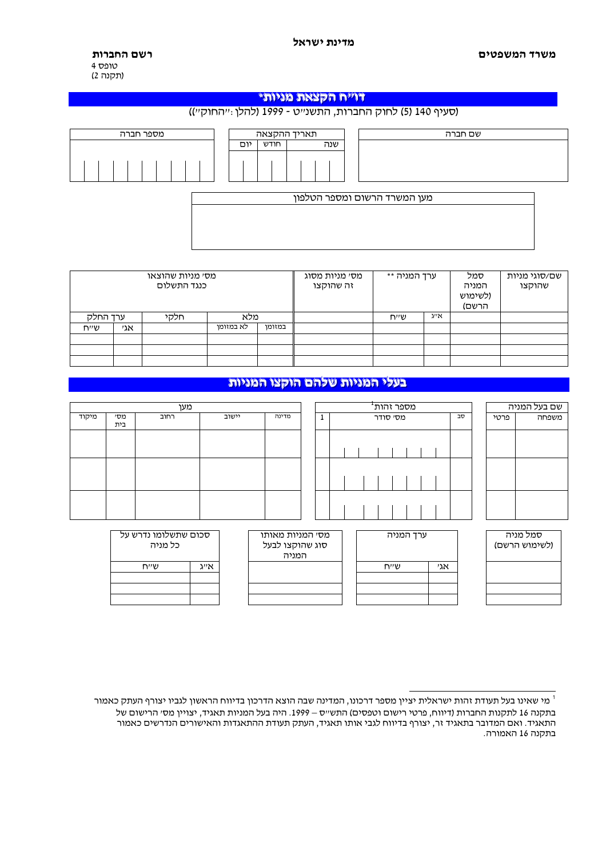| מי שאינו בעל תעודת זהות ישראלית יציין מספר דרכונו, המדינה שבה הוצא הדרכון בדיווח הראשון לגביו יצורף העתק כאמור |
|----------------------------------------------------------------------------------------------------------------|
| בתקנה 16 לתקנות החברות (דיווח, פרטי רישום וטפסים) התש״ס – 1999. היה בעל המניות תאגיד, יצויין מסי הרישום של     |
| התאגיד. ואם המדובר בתאגיד זר, יצורף בדיווח לגבי אותו תאגיד, העתק תעודת ההתאגדות והאישורים הנדרשים כאמור        |
| בתקנה 16 האמורה.                                                                                               |

| מסי מניות שהוצאו<br>כנגד התשלום |     |      |           |        | מסי מניות מסוג<br>זה שהוקצו   | ערד המניה ** |      | סמל<br>המניה<br>ולשימוש)<br>הרשם) | שם/סוגי מניות<br>שהוקצו |
|---------------------------------|-----|------|-----------|--------|-------------------------------|--------------|------|-----------------------------------|-------------------------|
| ערד החלק                        |     | חלקי | מלא       |        |                               | שייח         | אייג |                                   |                         |
| שייח                            | אגי |      | לא במזומו | במזומן |                               |              |      |                                   |                         |
|                                 |     |      |           |        |                               |              |      |                                   |                         |
|                                 |     |      |           |        |                               |              |      |                                   |                         |
|                                 |     |      |           |        |                               |              |      |                                   |                         |
|                                 |     |      |           |        |                               |              |      |                                   |                         |
|                                 |     |      |           |        | בעלי המניות שלהם הוקצו המניות |              |      |                                   |                         |

 $\overline{1}$ 

מספר זהות<sup>ו</sup>

ערד המניה

 $\overline{2}$ אגי

 $\overline{N''U}$ 

מסי סודר

 $\overline{\mathsf{d}\mathsf{v}}$ 

|                    | מסי מניות שהוצאו<br>כנגד התשלום | מסי מניות מסוג<br>זה שהוקצו | ערד המניה ** |  | סמל<br>המניה<br>ולשימוש)<br>הרשם) | שם/סוגי מניות<br>שהוקצו |  |  |
|--------------------|---------------------------------|-----------------------------|--------------|--|-----------------------------------|-------------------------|--|--|
| ערד החלק           | חלקי                            | מלא                         |              |  | שייח                              | אייג                    |  |  |
| $\cdots$<br>7.1111 |                                 | לע רמזומו                   | $nnnn -$     |  |                                   |                         |  |  |

| מספר חברה |     |      | תאריך ההקצאה |                              |
|-----------|-----|------|--------------|------------------------------|
|           | יום | חודש | שנה          |                              |
|           |     |      |              |                              |
|           |     |      |              |                              |
|           |     |      |              | מעו המשרד הרשום ומספר הטלפוו |

מען

יישוב

מדינה

מסי המניות מאותו

סוג שהוקצו לבעל

המניה

רחוב

סכום שתשלומו נדרש על

כל מניה

 $\lambda^{\prime\prime}$ 

 $\overline{N''V}$ 

מיקוד

 $\overline{r}$ 

בית

## שם חברה

(סעיף 140 (5) לחוק החברות, התשנייט - 1999 (להלן:ייהחוקיי))

## דוייה הקצאת מניות\*

רשם החברות 4 טופס (תקנה 2)

משרד המשפטים

שם בעל המניה

סמל מניה

(לשימוש הרשם)

משפחה

פרטי